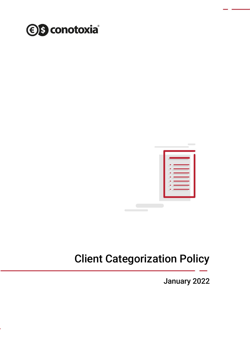



# Client Categorization Policy

January 2022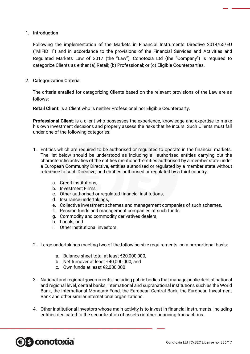#### 1. Introduction

Following the implementation of the Markets in Financial Instruments Directive 2014/65/EU ("MiFID II") and in accordance to the provisions of the Financial Services and Activities and Regulated Markets Law of 2017 (the "Law"), Conotoxia Ltd (the "Company") is required to categorize Clients as either (a) Retail; (b) Professional; or (c) Eligible Counterparties.

#### 2. Categorization Criteria

The criteria entailed for categorizing Clients based on the relevant provisions of the Law are as follows:

**Retail Client**: is a Client who is neither Professional nor Eligible Counterparty.

**Professional Client**: is a client who possesses the experience, knowledge and expertise to make his own investment decisions and properly assess the risks that he incurs. Such Clients must fall under one of the following categories:

- 1. Entities which are required to be authorised or regulated to operate in the financial markets. The list below should be understood as including all authorised entities carrying out the characteristic activities of the entities mentioned: entities authorised by a member state under a European Community Directive, entities authorised or regulated by a member state without reference to such Directive, and entities authorised or regulated by a third country:
	- a. Credit institutions,
	- b. Investment Firms,
	- c. Other authorised or regulated financial institutions,
	- d. Insurance undertakings,
	- e. Collective investment schemes and management companies of such schemes,
	- f. Pension funds and management companies of such funds,
	- g. Commodity and commodity derivatives dealers,
	- h. Locals, and

S conotoxia

- i. Other institutional investors.
- 2. Large undertakings meeting two of the following size requirements, on a proportional basis:
	- a. Balance sheet total at least €20,000,000,
	- b. Net turnover at least €40,000,000, and
	- c. Own funds at least €2,000,000.
- 3. National and regional governments, including public bodies that manage public debt at national and regional level, central banks, international and supranational institutions such as the World Bank, the International Monetary Fund, the European Central Bank, the European Investment Bank and other similar international organizations.
- 4. Other institutional investors whose main activity is to invest in financial instruments, including entities dedicated to the securitization of assets or other financing transactions.

Conotoxia Ltd | CySEC License no: 336/17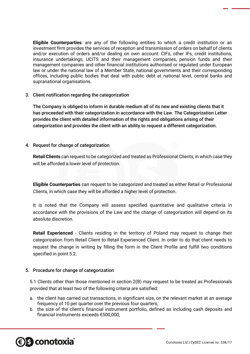**Eligible Counterparties**: are any of the following entities to which a credit institution or an investment firm provides the services of reception and transmission of orders on behalf of clients and/or execution of orders and/or dealing on own account: CIFs, other IFs, credit institutions, insurance undertakings, UCITS and their management companies, pension funds and their management companies and other financial institutions authorised or regulated under European law or under the national law of a Member State, national governments and their corresponding offices, including public bodies that deal with public debt at national level, central banks and supranational organisations.

#### 3. Client notification regarding the categorization

The Company is obliged to inform in durable medium all of its new and existing clients that it has proceeded with their categorization in accordance with the Law. The Categorization Letter provides the client with detailed information of the rights and obligations arising of their categorization and provides the client with an ability to request a different categorization.

#### 4. Request for change of categorization

**Retail Clients** can request to be categorized and treated as Professional Clients, in which case they will be afforded a lower level of protection.

**Eligible Counterparties** can request to be categorized and treated as either Retail or Professional Clients, in which case they will be afforded a higher level of protection.

It is noted that the Company will assess specified quantitative and qualitative criteria in accordance with the provisions of the Law and the change of categorization will depend on its absolute discretion.

**Retail Experienced** - Clients residing in the territory of Poland may request to change their categorization from Retail Client to Retail Experienced Client. In order to do that client needs to request the change in writing by filling the form in the Client Profile and fulfill two conditions specified in point 5.2.

### 5. Procedure for change of categorization

5.1 Clients other than those mentioned in section 2(B) may request to be treated as Professionals provided that at least two of the following criteria are satisfied:

- a. the client has carried out transactions, in significant size, on the relevant market at an average frequency of 10 per quarter over the previous four quarters,
- b. the size of the client's financial instrument portfolio, defined as including cash deposits and financial instruments exceeds €500,000,

# **S** conotoxia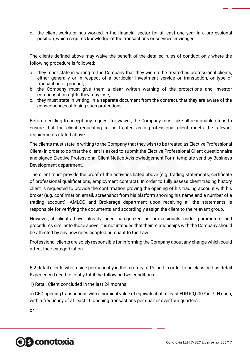c. the client works or has worked in the financial sector for at least one year in a professional position, which requires knowledge of the transactions or services envisaged.

The clients defined above may waive the benefit of the detailed rules of conduct only where the following procedure is followed:

- a. they must state in writing to the Company that they wish to be treated as professional clients, either generally or in respect of a particular investment service or transaction, or type of transaction or product,
- b. the Company must give them a clear written warning of the protections and investor compensation rights they may lose,
- c. they must state in writing, in a separate document from the contract, that they are aware of the consequences of losing such protections.

Before deciding to accept any request for waiver, the Company must take all reasonable steps to ensure that the client requesting to be treated as a professional client meets the relevant requirements stated above.

The clients must state in writing to the Company that they wish to be treated as Elective Professional Client- in order to do that the client is asked to submit the Elective Professional Client questionnaire and signed Elective Professional Client Notice Acknowledgement Form template send by Business Development department.

The client must provide the proof of the activities listed above (e.g. trading statements, certificate of professional qualifications, employment contract). In order to fully assess client trading history client is requested to provide the confirmation proving the opening of his trading account with his broker (e.g. confirmation email, screenshot from his platform showing his name and a number of a trading account). AMLCO and Brokerage department upon receiving all the statements is responsible for verifying the documents and accordingly assign the client to the relevant group.

However, if clients have already been categorized as professionals under parameters and procedures similar to those above, it is not intended that their relationships with the Company should be affected by any new rules adopted pursuant to the Law.

Professional clients are solely responsible for informing the Company about any change which could affect their categorization.

5.2 Retail clients who reside permanently in the territory of Poland in order to be classified as Retail Experienced need to jointly fulfil the following two conditions:

1) Retail Client concluded in the last 24 months:

a) CFD opening transactions with a nominal value of equivalent of at least EUR 50,000 \* in PLN each, with a frequency of at least 10 opening transactions per quarter over four quarters;

or

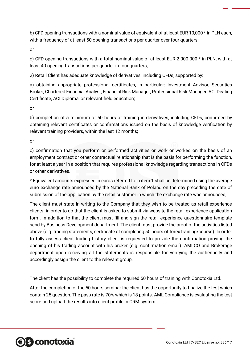b) CFD opening transactions with a nominal value of equivalent of at least EUR 10,000 \* in PLN each, with a frequency of at least 50 opening transactions per quarter over four quarters;

or

c) CFD opening transactions with a total nominal value of at least EUR 2.000.000 \* in PLN, with at least 40 opening transactions per quarter in four quarters;

2) Retail Client has adequate knowledge of derivatives, including CFDs, supported by:

a) obtaining appropriate professional certificates, in particular: Investment Advisor, Securities Broker, Chartered Financial Analyst, Financial Risk Manager, Professional Risk Manager, ACI Dealing Certificate, ACI Diploma, or relevant field education;

or

b) completion of a minimum of 50 hours of training in derivatives, including CFDs, confirmed by obtaining relevant certificates or confirmations issued on the basis of knowledge verification by relevant training providers, within the last 12 months;

or

c) confirmation that you perform or performed activities or work or worked on the basis of an employment contract or other contractual relationship that is the basis for performing the function, for at least a year in a position that requires professional knowledge regarding transactions in CFDs or other derivatives.

\* Equivalent amounts expressed in euros referred to in item 1 shall be determined using the average euro exchange rate announced by the National Bank of Poland on the day preceding the date of submission of the application by the retail customer in which the exchange rate was announced;

The client must state in writing to the Company that they wish to be treated as retail experience clients- in order to do that the client is asked to submit via website the retail experience application form. In addition to that the client must fill and sign the retail experience questionnaire template send by Business Development department. The client must provide the proof of the activities listed above (e.g. trading statements, certificate of completing 50 hours of forex training/course). In order to fully assess client trading history client is requested to provide the confirmation proving the opening of his trading account with his broker (e.g. confirmation email). AMLCO and Brokerage department upon receiving all the statements is responsible for verifying the authenticity and accordingly assign the client to the relevant group.

The client has the possibility to complete the required 50 hours of training with Conotoxia Ltd.

After the completion of the 50 hours seminar the client has the opportunity to finalize the test which contain 25 question. The pass rate is 70% which is 18 points. AML Compliance is evaluating the test score and upload the results into client profile in CRM system.